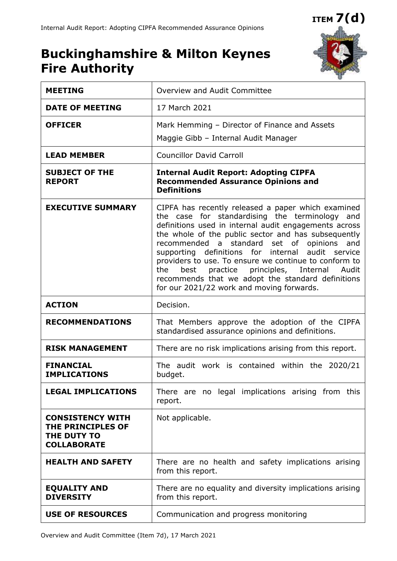# **ITEM 7(d)**

## **Buckinghamshire & Milton Keynes Fire Authority**



| <b>MEETING</b>                                                                    | Overview and Audit Committee                                                                                                                                                                                                                                                                                                                                                                                                                                                                                                                   |  |  |
|-----------------------------------------------------------------------------------|------------------------------------------------------------------------------------------------------------------------------------------------------------------------------------------------------------------------------------------------------------------------------------------------------------------------------------------------------------------------------------------------------------------------------------------------------------------------------------------------------------------------------------------------|--|--|
| <b>DATE OF MEETING</b>                                                            | 17 March 2021                                                                                                                                                                                                                                                                                                                                                                                                                                                                                                                                  |  |  |
| <b>OFFICER</b>                                                                    | Mark Hemming - Director of Finance and Assets                                                                                                                                                                                                                                                                                                                                                                                                                                                                                                  |  |  |
|                                                                                   | Maggie Gibb - Internal Audit Manager                                                                                                                                                                                                                                                                                                                                                                                                                                                                                                           |  |  |
| <b>LEAD MEMBER</b>                                                                | <b>Councillor David Carroll</b>                                                                                                                                                                                                                                                                                                                                                                                                                                                                                                                |  |  |
| <b>SUBJECT OF THE</b><br><b>REPORT</b>                                            | <b>Internal Audit Report: Adopting CIPFA</b><br><b>Recommended Assurance Opinions and</b><br><b>Definitions</b>                                                                                                                                                                                                                                                                                                                                                                                                                                |  |  |
| <b>EXECUTIVE SUMMARY</b>                                                          | CIPFA has recently released a paper which examined<br>the case for standardising the terminology and<br>definitions used in internal audit engagements across<br>the whole of the public sector and has subsequently<br>recommended a standard set of opinions<br>and<br>audit service<br>supporting definitions for internal<br>providers to use. To ensure we continue to conform to<br>practice principles, Internal Audit<br>the<br>best<br>recommends that we adopt the standard definitions<br>for our 2021/22 work and moving forwards. |  |  |
| <b>ACTION</b>                                                                     | Decision.                                                                                                                                                                                                                                                                                                                                                                                                                                                                                                                                      |  |  |
| <b>RECOMMENDATIONS</b>                                                            | That Members approve the adoption of the CIPFA<br>standardised assurance opinions and definitions.                                                                                                                                                                                                                                                                                                                                                                                                                                             |  |  |
| <b>RISK MANAGEMENT</b>                                                            | There are no risk implications arising from this report.                                                                                                                                                                                                                                                                                                                                                                                                                                                                                       |  |  |
| <b>FINANCIAL</b><br><b>IMPLICATIONS</b>                                           | The audit work is contained within the 2020/21<br>budget.                                                                                                                                                                                                                                                                                                                                                                                                                                                                                      |  |  |
| <b>LEGAL IMPLICATIONS</b>                                                         | There are no legal implications arising from this<br>report.                                                                                                                                                                                                                                                                                                                                                                                                                                                                                   |  |  |
| <b>CONSISTENCY WITH</b><br>THE PRINCIPLES OF<br>THE DUTY TO<br><b>COLLABORATE</b> | Not applicable.                                                                                                                                                                                                                                                                                                                                                                                                                                                                                                                                |  |  |
| <b>HEALTH AND SAFETY</b>                                                          | There are no health and safety implications arising<br>from this report.                                                                                                                                                                                                                                                                                                                                                                                                                                                                       |  |  |
| <b>EQUALITY AND</b><br><b>DIVERSITY</b>                                           | There are no equality and diversity implications arising<br>from this report.                                                                                                                                                                                                                                                                                                                                                                                                                                                                  |  |  |
| <b>USE OF RESOURCES</b>                                                           | Communication and progress monitoring                                                                                                                                                                                                                                                                                                                                                                                                                                                                                                          |  |  |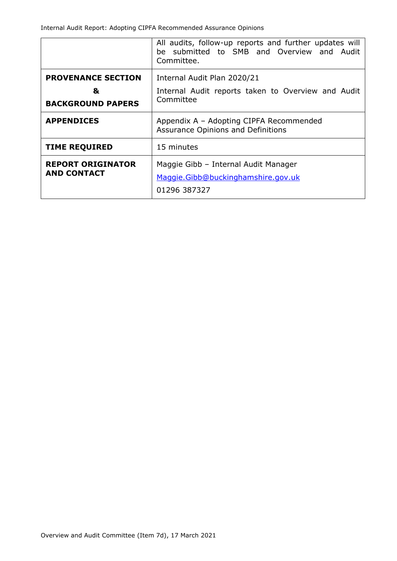|                                                            | All audits, follow-up reports and further updates will<br>be submitted to SMB and Overview and Audit<br>Committee. |  |  |
|------------------------------------------------------------|--------------------------------------------------------------------------------------------------------------------|--|--|
| <b>PROVENANCE SECTION</b><br>&<br><b>BACKGROUND PAPERS</b> | Internal Audit Plan 2020/21<br>Internal Audit reports taken to Overview and Audit<br>Committee                     |  |  |
| <b>APPENDICES</b>                                          | Appendix A - Adopting CIPFA Recommended<br>Assurance Opinions and Definitions                                      |  |  |
| <b>TIME REQUIRED</b>                                       | 15 minutes                                                                                                         |  |  |
| <b>REPORT ORIGINATOR</b><br><b>AND CONTACT</b>             | Maggie Gibb - Internal Audit Manager<br>Maggie.Gibb@buckinghamshire.gov.uk<br>01296 387327                         |  |  |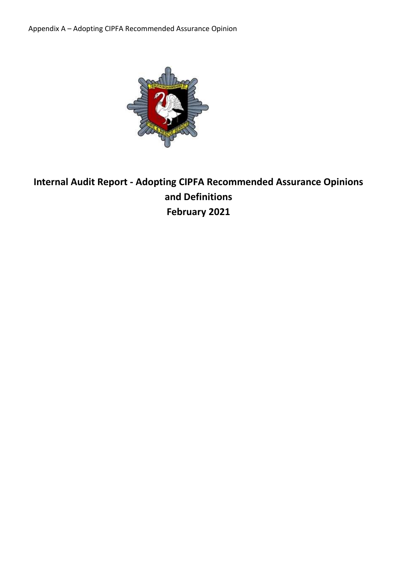Appendix A – Adopting CIPFA Recommended Assurance Opinion



### **Internal Audit Report - Adopting CIPFA Recommended Assurance Opinions and Definitions February 2021**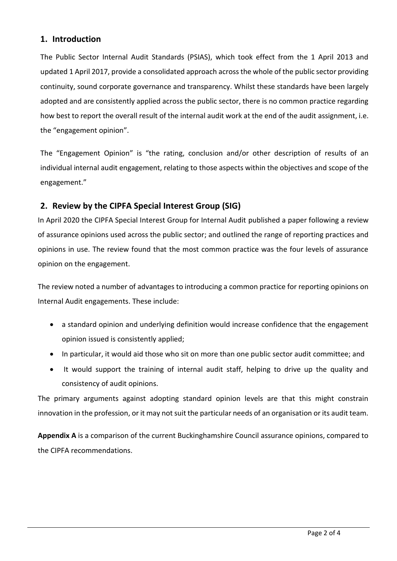#### **1. Introduction**

The Public Sector Internal Audit Standards (PSIAS), which took effect from the 1 April 2013 and updated 1 April 2017, provide a consolidated approach across the whole of the public sector providing continuity, sound corporate governance and transparency. Whilst these standards have been largely adopted and are consistently applied across the public sector, there is no common practice regarding how best to report the overall result of the internal audit work at the end of the audit assignment, i.e. the "engagement opinion".

The "Engagement Opinion" is "the rating, conclusion and/or other description of results of an individual internal audit engagement, relating to those aspects within the objectives and scope of the engagement."

#### **2. Review by the CIPFA Special Interest Group (SIG)**

In April 2020 the CIPFA Special Interest Group for Internal Audit published a paper following a review of assurance opinions used across the public sector; and outlined the range of reporting practices and opinions in use. The review found that the most common practice was the four levels of assurance opinion on the engagement.

The review noted a number of advantages to introducing a common practice for reporting opinions on Internal Audit engagements. These include:

- a standard opinion and underlying definition would increase confidence that the engagement opinion issued is consistently applied;
- In particular, it would aid those who sit on more than one public sector audit committee; and
- It would support the training of internal audit staff, helping to drive up the quality and consistency of audit opinions.

The primary arguments against adopting standard opinion levels are that this might constrain innovation in the profession, or it may not suit the particular needs of an organisation or its audit team.

**Appendix A** is a comparison of the current Buckinghamshire Council assurance opinions, compared to the CIPFA recommendations.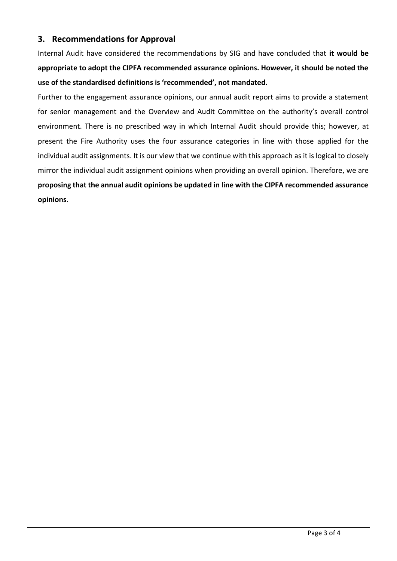#### **3. Recommendations for Approval**

Internal Audit have considered the recommendations by SIG and have concluded that **it would be appropriate to adopt the CIPFA recommended assurance opinions. However, it should be noted the use of the standardised definitions is 'recommended', not mandated.**

Further to the engagement assurance opinions, our annual audit report aims to provide a statement for senior management and the Overview and Audit Committee on the authority's overall control environment. There is no prescribed way in which Internal Audit should provide this; however, at present the Fire Authority uses the four assurance categories in line with those applied for the individual audit assignments. It is our view that we continue with this approach as it is logical to closely mirror the individual audit assignment opinions when providing an overall opinion. Therefore, we are **proposing that the annual audit opinions be updated in line with the CIPFA recommended assurance opinions**.